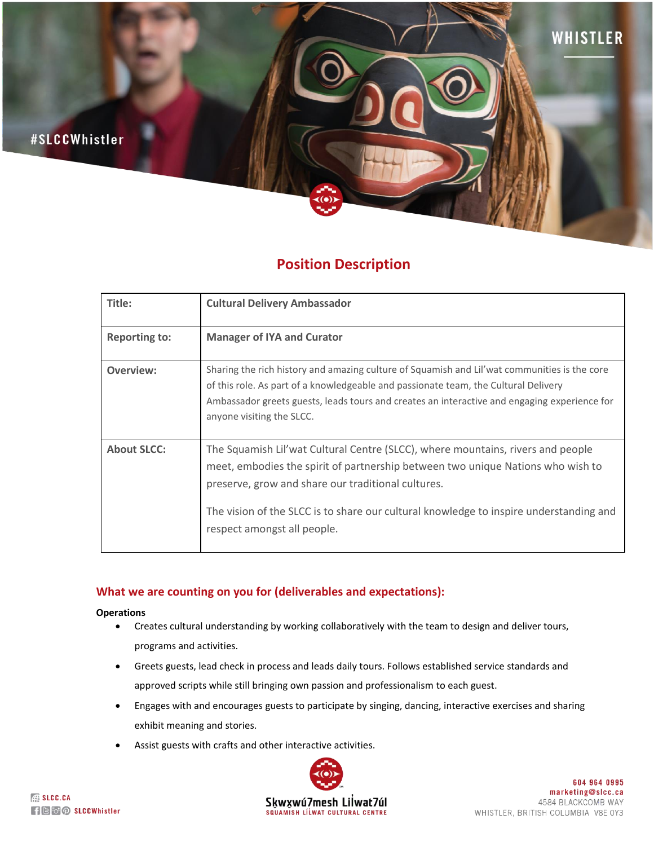

# **Position Description**

| Title:               | <b>Cultural Delivery Ambassador</b>                                                                                                                                                                                                                                                                                                               |
|----------------------|---------------------------------------------------------------------------------------------------------------------------------------------------------------------------------------------------------------------------------------------------------------------------------------------------------------------------------------------------|
| <b>Reporting to:</b> | <b>Manager of IYA and Curator</b>                                                                                                                                                                                                                                                                                                                 |
| Overview:            | Sharing the rich history and amazing culture of Squamish and Lil'wat communities is the core<br>of this role. As part of a knowledgeable and passionate team, the Cultural Delivery<br>Ambassador greets guests, leads tours and creates an interactive and engaging experience for<br>anyone visiting the SLCC.                                  |
| <b>About SLCC:</b>   | The Squamish Lil'wat Cultural Centre (SLCC), where mountains, rivers and people<br>meet, embodies the spirit of partnership between two unique Nations who wish to<br>preserve, grow and share our traditional cultures.<br>The vision of the SLCC is to share our cultural knowledge to inspire understanding and<br>respect amongst all people. |

## **What we are counting on you for (deliverables and expectations):**

### **Operations**

- Creates cultural understanding by working collaboratively with the team to design and deliver tours, programs and activities.
- Greets guests, lead check in process and leads daily tours. Follows established service standards and approved scripts while still bringing own passion and professionalism to each guest.
- Engages with and encourages guests to participate by singing, dancing, interactive exercises and sharing exhibit meaning and stories.
- Assist guests with crafts and other interactive activities.

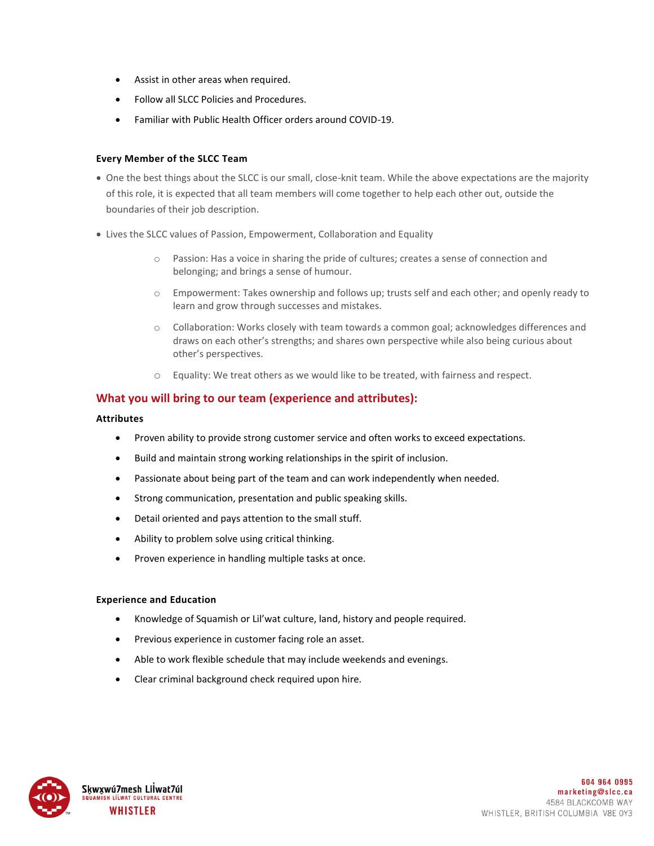- Assist in other areas when required.
- Follow all SLCC Policies and Procedures.
- Familiar with Public Health Officer orders around COVID-19.

## **Every Member of the SLCC Team**

- One the best things about the SLCC is our small, close-knit team. While the above expectations are the majority of this role, it is expected that all team members will come together to help each other out, outside the boundaries of their job description.
- Lives the SLCC values of Passion, Empowerment, Collaboration and Equality
	- o Passion: Has a voice in sharing the pride of cultures; creates a sense of connection and belonging; and brings a sense of humour.
	- $\circ$  Empowerment: Takes ownership and follows up; trusts self and each other; and openly ready to learn and grow through successes and mistakes.
	- $\circ$  Collaboration: Works closely with team towards a common goal; acknowledges differences and draws on each other's strengths; and shares own perspective while also being curious about other's perspectives.
	- o Equality: We treat others as we would like to be treated, with fairness and respect.

## **What you will bring to our team (experience and attributes):**

### **Attributes**

- Proven ability to provide strong customer service and often works to exceed expectations.
- Build and maintain strong working relationships in the spirit of inclusion.
- Passionate about being part of the team and can work independently when needed.
- Strong communication, presentation and public speaking skills.
- Detail oriented and pays attention to the small stuff.
- Ability to problem solve using critical thinking.
- Proven experience in handling multiple tasks at once.

### **Experience and Education**

- Knowledge of Squamish or Lil'wat culture, land, history and people required.
- Previous experience in customer facing role an asset.
- Able to work flexible schedule that may include weekends and evenings.
- Clear criminal background check required upon hire.